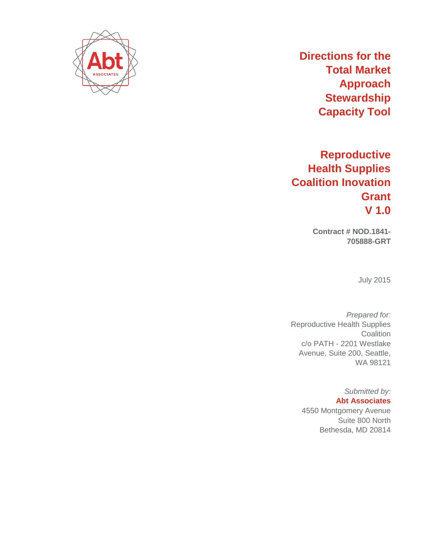

# **Directions for the Total Market Approach Stewardship Capacity Tool**

# **Reproductive Health Supplies Coalition Inovation Grant V 1.0**

**Contract # NOD.1841- 705888-GRT**

July 2015

*Prepared for:* Reproductive Health Supplies **Coalition** c/o PATH - 2201 Westlake Avenue, Suite 200, Seattle, WA 98121

> *Submitted by:* **Abt Associates**  4550 Montgomery Avenue Suite 800 North Bethesda, MD 20814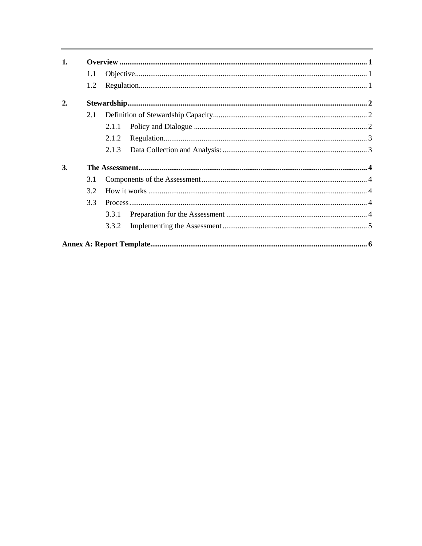| 1. |     |       |  |
|----|-----|-------|--|
|    | 1.1 |       |  |
|    | 1.2 |       |  |
| 2. |     |       |  |
|    | 2.1 |       |  |
|    |     | 2.1.1 |  |
|    |     | 2.1.2 |  |
|    |     | 2.1.3 |  |
| 3. |     |       |  |
|    | 3.1 |       |  |
|    | 3.2 |       |  |
|    | 3.3 |       |  |
|    |     | 3.3.1 |  |
|    |     | 3.3.2 |  |
|    |     |       |  |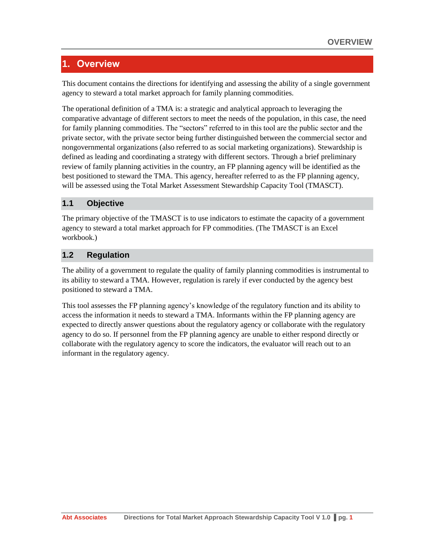# <span id="page-2-0"></span>**1. Overview**

This document contains the directions for identifying and assessing the ability of a single government agency to steward a total market approach for family planning commodities.

The operational definition of a TMA is: a strategic and analytical approach to leveraging the comparative advantage of different sectors to meet the needs of the population, in this case, the need for family planning commodities. The "sectors" referred to in this tool are the public sector and the private sector, with the private sector being further distinguished between the commercial sector and nongovernmental organizations (also referred to as social marketing organizations). Stewardship is defined as leading and coordinating a strategy with different sectors. Through a brief preliminary review of family planning activities in the country, an FP planning agency will be identified as the best positioned to steward the TMA. This agency, hereafter referred to as the FP planning agency, will be assessed using the Total Market Assessment Stewardship Capacity Tool (TMASCT).

## <span id="page-2-1"></span>**1.1 Objective**

The primary objective of the TMASCT is to use indicators to estimate the capacity of a government agency to steward a total market approach for FP commodities. (The TMASCT is an Excel workbook.)

# <span id="page-2-2"></span>**1.2 Regulation**

The ability of a government to regulate the quality of family planning commodities is instrumental to its ability to steward a TMA. However, regulation is rarely if ever conducted by the agency best positioned to steward a TMA.

This tool assesses the FP planning agency's knowledge of the regulatory function and its ability to access the information it needs to steward a TMA. Informants within the FP planning agency are expected to directly answer questions about the regulatory agency or collaborate with the regulatory agency to do so. If personnel from the FP planning agency are unable to either respond directly or collaborate with the regulatory agency to score the indicators, the evaluator will reach out to an informant in the regulatory agency.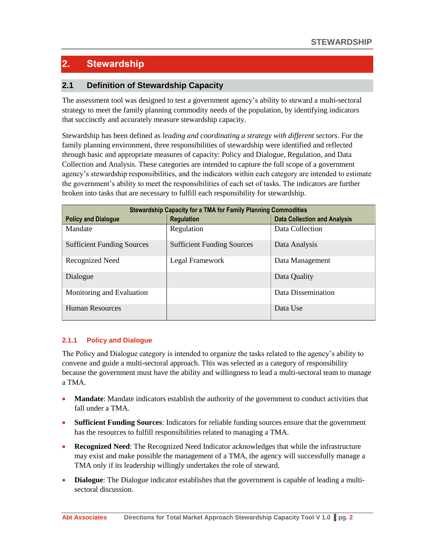# <span id="page-3-0"></span>**2. Stewardship**

# <span id="page-3-1"></span>**2.1 Definition of Stewardship Capacity**

The assessment tool was designed to test a government agency's ability to steward a multi-sectoral strategy to meet the family planning commodity needs of the population, by identifying indicators that succinctly and accurately measure stewardship capacity.

Stewardship has been defined as *leading and coordinating a strategy with different sectors*. For the family planning environment, three responsibilities of stewardship were identified and reflected through basic and appropriate measures of capacity: Policy and Dialogue, Regulation, and Data Collection and Analysis. These categories are intended to capture the full scope of a government agency's stewardship responsibilities, and the indicators within each category are intended to estimate the government's ability to meet the responsibilities of each set of tasks. The indicators are further broken into tasks that are necessary to fulfill each responsibility for stewardship.

| <b>Stewardship Capacity for a TMA for Family Planning Commodities</b> |                                   |                                     |  |  |  |
|-----------------------------------------------------------------------|-----------------------------------|-------------------------------------|--|--|--|
| <b>Policy and Dialogue</b>                                            | <b>Regulation</b>                 | <b>Data Collection and Analysis</b> |  |  |  |
| Mandate                                                               | Regulation                        | Data Collection                     |  |  |  |
| <b>Sufficient Funding Sources</b>                                     | <b>Sufficient Funding Sources</b> | Data Analysis                       |  |  |  |
| Recognized Need                                                       | Legal Framework                   | Data Management                     |  |  |  |
| Dialogue                                                              |                                   | Data Quality                        |  |  |  |
| Monitoring and Evaluation                                             |                                   | Data Dissemination                  |  |  |  |
| <b>Human Resources</b>                                                |                                   | Data Use                            |  |  |  |

#### <span id="page-3-2"></span>**2.1.1 Policy and Dialogue**

The Policy and Dialogue category is intended to organize the tasks related to the agency's ability to convene and guide a multi-sectoral approach. This was selected as a category of responsibility because the government must have the ability and willingness to lead a multi-sectoral team to manage a TMA.

- **Mandate**: Mandate indicators establish the authority of the government to conduct activities that fall under a TMA
- **Sufficient Funding Sources**: Indicators for reliable funding sources ensure that the government has the resources to fulfill responsibilities related to managing a TMA.
- **Recognized Need**: The Recognized Need Indicator acknowledges that while the infrastructure may exist and make possible the management of a TMA, the agency will successfully manage a TMA only if its leadership willingly undertakes the role of steward.
- **Dialogue**: The Dialogue indicator establishes that the government is capable of leading a multisectoral discussion.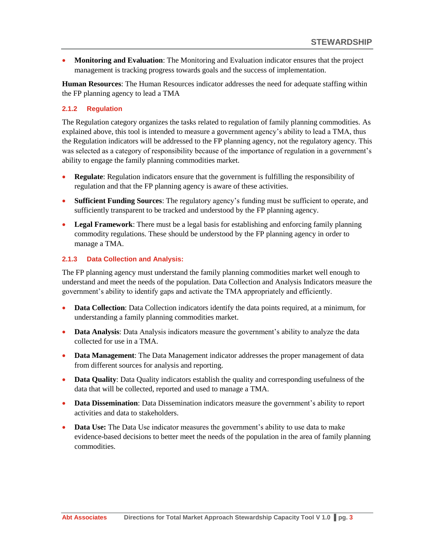**Monitoring and Evaluation**: The Monitoring and Evaluation indicator ensures that the project management is tracking progress towards goals and the success of implementation.

**Human Resources**: The Human Resources indicator addresses the need for adequate staffing within the FP planning agency to lead a TMA

### <span id="page-4-0"></span>**2.1.2 Regulation**

The Regulation category organizes the tasks related to regulation of family planning commodities. As explained above, this tool is intended to measure a government agency's ability to lead a TMA, thus the Regulation indicators will be addressed to the FP planning agency, not the regulatory agency. This was selected as a category of responsibility because of the importance of regulation in a government's ability to engage the family planning commodities market.

- **Regulate**: Regulation indicators ensure that the government is fulfilling the responsibility of regulation and that the FP planning agency is aware of these activities.
- **Sufficient Funding Sources**: The regulatory agency's funding must be sufficient to operate, and sufficiently transparent to be tracked and understood by the FP planning agency.
- **Legal Framework**: There must be a legal basis for establishing and enforcing family planning commodity regulations. These should be understood by the FP planning agency in order to manage a TMA.

#### <span id="page-4-1"></span>**2.1.3 Data Collection and Analysis:**

The FP planning agency must understand the family planning commodities market well enough to understand and meet the needs of the population. Data Collection and Analysis Indicators measure the government's ability to identify gaps and activate the TMA appropriately and efficiently.

- **Data Collection**: Data Collection indicators identify the data points required, at a minimum, for understanding a family planning commodities market.
- **Data Analysis:** Data Analysis indicators measure the government's ability to analyze the data collected for use in a TMA.
- **Data Management**: The Data Management indicator addresses the proper management of data from different sources for analysis and reporting.
- **Data Quality**: Data Quality indicators establish the quality and corresponding usefulness of the data that will be collected, reported and used to manage a TMA.
- **Data Dissemination**: Data Dissemination indicators measure the government's ability to report activities and data to stakeholders.
- **Data Use:** The Data Use indicator measures the government's ability to use data to make evidence-based decisions to better meet the needs of the population in the area of family planning commodities.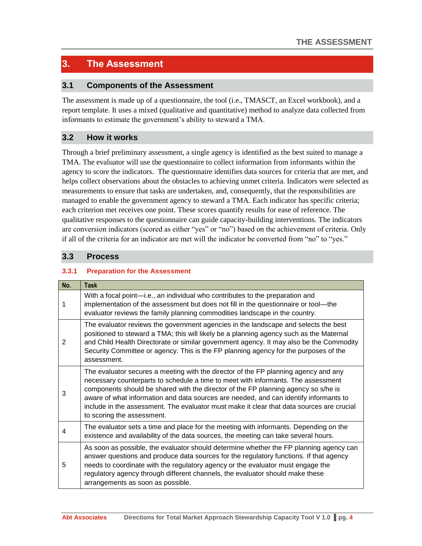# <span id="page-5-0"></span>**3. The Assessment**

# <span id="page-5-1"></span>**3.1 Components of the Assessment**

The assessment is made up of a questionnaire, the tool (i.e., TMASCT, an Excel workbook), and a report template. It uses a mixed (qualitative and quantitative) method to analyze data collected from informants to estimate the government's ability to steward a TMA.

# <span id="page-5-2"></span>**3.2 How it works**

Through a brief preliminary assessment, a single agency is identified as the best suited to manage a TMA. The evaluator will use the questionnaire to collect information from informants within the agency to score the indicators. The questionnaire identifies data sources for criteria that are met, and helps collect observations about the obstacles to achieving unmet criteria. Indicators were selected as measurements to ensure that tasks are undertaken, and, consequently, that the responsibilities are managed to enable the government agency to steward a TMA. Each indicator has specific criteria; each criterion met receives one point. These scores quantify results for ease of reference. The qualitative responses to the questionnaire can guide capacity-building interventions. The indicators are conversion indicators (scored as either "yes" or "no") based on the achievement of criteria. Only if all of the criteria for an indicator are met will the indicator be converted from "no" to "yes."

## <span id="page-5-3"></span>**3.3 Process**

### <span id="page-5-4"></span>**3.3.1 Preparation for the Assessment**

| No. | <b>Task</b>                                                                                                                                                                                                                                                                                                                                                                                                                                                                        |
|-----|------------------------------------------------------------------------------------------------------------------------------------------------------------------------------------------------------------------------------------------------------------------------------------------------------------------------------------------------------------------------------------------------------------------------------------------------------------------------------------|
| 1   | With a focal point—i.e., an individual who contributes to the preparation and<br>implementation of the assessment but does not fill in the questionnaire or tool—the<br>evaluator reviews the family planning commodities landscape in the country.                                                                                                                                                                                                                                |
| 2   | The evaluator reviews the government agencies in the landscape and selects the best<br>positioned to steward a TMA; this will likely be a planning agency such as the Maternal<br>and Child Health Directorate or similar government agency. It may also be the Commodity<br>Security Committee or agency. This is the FP planning agency for the purposes of the<br>assessment.                                                                                                   |
| 3   | The evaluator secures a meeting with the director of the FP planning agency and any<br>necessary counterparts to schedule a time to meet with informants. The assessment<br>components should be shared with the director of the FP planning agency so s/he is<br>aware of what information and data sources are needed, and can identify informants to<br>include in the assessment. The evaluator must make it clear that data sources are crucial<br>to scoring the assessment. |
| 4   | The evaluator sets a time and place for the meeting with informants. Depending on the<br>existence and availability of the data sources, the meeting can take several hours.                                                                                                                                                                                                                                                                                                       |
| 5   | As soon as possible, the evaluator should determine whether the FP planning agency can<br>answer questions and produce data sources for the regulatory functions. If that agency<br>needs to coordinate with the regulatory agency or the evaluator must engage the<br>regulatory agency through different channels, the evaluator should make these<br>arrangements as soon as possible.                                                                                          |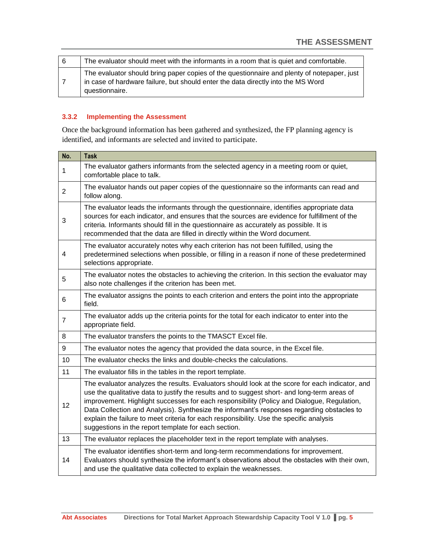| -6 | The evaluator should meet with the informants in a room that is quiet and comfortable.                                                                                                           |
|----|--------------------------------------------------------------------------------------------------------------------------------------------------------------------------------------------------|
|    | The evaluator should bring paper copies of the questionnaire and plenty of notepaper, just<br>in case of hardware failure, but should enter the data directly into the MS Word<br>questionnaire. |

## <span id="page-6-0"></span>**3.3.2 Implementing the Assessment**

Once the background information has been gathered and synthesized, the FP planning agency is identified, and informants are selected and invited to participate.

| No.                                                                                                                                                                                                                                                                                                                                                                                                                                                                                                                                                                                                         | <b>Task</b>                                                                                                                                                                                                                                                                                                                                                                                                                                                                                                                                    |  |  |
|-------------------------------------------------------------------------------------------------------------------------------------------------------------------------------------------------------------------------------------------------------------------------------------------------------------------------------------------------------------------------------------------------------------------------------------------------------------------------------------------------------------------------------------------------------------------------------------------------------------|------------------------------------------------------------------------------------------------------------------------------------------------------------------------------------------------------------------------------------------------------------------------------------------------------------------------------------------------------------------------------------------------------------------------------------------------------------------------------------------------------------------------------------------------|--|--|
| $\mathbf{1}$                                                                                                                                                                                                                                                                                                                                                                                                                                                                                                                                                                                                | The evaluator gathers informants from the selected agency in a meeting room or quiet,<br>comfortable place to talk.                                                                                                                                                                                                                                                                                                                                                                                                                            |  |  |
| $\overline{2}$                                                                                                                                                                                                                                                                                                                                                                                                                                                                                                                                                                                              | The evaluator hands out paper copies of the questionnaire so the informants can read and<br>follow along.                                                                                                                                                                                                                                                                                                                                                                                                                                      |  |  |
| The evaluator leads the informants through the questionnaire, identifies appropriate data<br>sources for each indicator, and ensures that the sources are evidence for fulfillment of the<br>3<br>criteria. Informants should fill in the questionnaire as accurately as possible. It is<br>recommended that the data are filled in directly within the Word document.<br>The evaluator accurately notes why each criterion has not been fulfilled, using the<br>$\overline{4}$<br>predetermined selections when possible, or filling in a reason if none of these predetermined<br>selections appropriate. |                                                                                                                                                                                                                                                                                                                                                                                                                                                                                                                                                |  |  |
|                                                                                                                                                                                                                                                                                                                                                                                                                                                                                                                                                                                                             |                                                                                                                                                                                                                                                                                                                                                                                                                                                                                                                                                |  |  |
| 6                                                                                                                                                                                                                                                                                                                                                                                                                                                                                                                                                                                                           | The evaluator assigns the points to each criterion and enters the point into the appropriate<br>field.                                                                                                                                                                                                                                                                                                                                                                                                                                         |  |  |
| $\overline{7}$                                                                                                                                                                                                                                                                                                                                                                                                                                                                                                                                                                                              | The evaluator adds up the criteria points for the total for each indicator to enter into the<br>appropriate field.                                                                                                                                                                                                                                                                                                                                                                                                                             |  |  |
| 8                                                                                                                                                                                                                                                                                                                                                                                                                                                                                                                                                                                                           | The evaluator transfers the points to the TMASCT Excel file.                                                                                                                                                                                                                                                                                                                                                                                                                                                                                   |  |  |
| 9                                                                                                                                                                                                                                                                                                                                                                                                                                                                                                                                                                                                           | The evaluator notes the agency that provided the data source, in the Excel file.                                                                                                                                                                                                                                                                                                                                                                                                                                                               |  |  |
| 10                                                                                                                                                                                                                                                                                                                                                                                                                                                                                                                                                                                                          | The evaluator checks the links and double-checks the calculations.                                                                                                                                                                                                                                                                                                                                                                                                                                                                             |  |  |
| 11                                                                                                                                                                                                                                                                                                                                                                                                                                                                                                                                                                                                          | The evaluator fills in the tables in the report template.                                                                                                                                                                                                                                                                                                                                                                                                                                                                                      |  |  |
| 12                                                                                                                                                                                                                                                                                                                                                                                                                                                                                                                                                                                                          | The evaluator analyzes the results. Evaluators should look at the score for each indicator, and<br>use the qualitative data to justify the results and to suggest short- and long-term areas of<br>improvement. Highlight successes for each responsibility (Policy and Dialogue, Regulation,<br>Data Collection and Analysis). Synthesize the informant's responses regarding obstacles to<br>explain the failure to meet criteria for each responsibility. Use the specific analysis<br>suggestions in the report template for each section. |  |  |
| 13                                                                                                                                                                                                                                                                                                                                                                                                                                                                                                                                                                                                          | The evaluator replaces the placeholder text in the report template with analyses.                                                                                                                                                                                                                                                                                                                                                                                                                                                              |  |  |
| 14                                                                                                                                                                                                                                                                                                                                                                                                                                                                                                                                                                                                          | The evaluator identifies short-term and long-term recommendations for improvement.<br>Evaluators should synthesize the informant's observations about the obstacles with their own,<br>and use the qualitative data collected to explain the weaknesses.                                                                                                                                                                                                                                                                                       |  |  |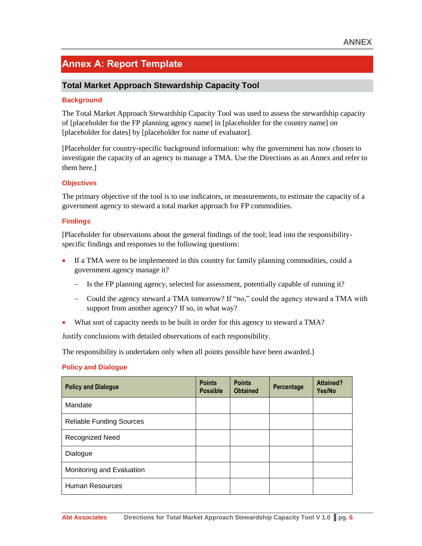# <span id="page-7-0"></span>**Annex A: Report Template**

# **Total Market Approach Stewardship Capacity Tool**

#### **Background**

The Total Market Approach Stewardship Capacity Tool was used to assess the stewardship capacity of [placeholder for the FP planning agency name] in [placeholder for the country name] on [placeholder for dates] by [placeholder for name of evaluator].

[Placeholder for country-specific background information: why the government has now chosen to investigate the capacity of an agency to manage a TMA. Use the Directions as an Annex and refer to them here.]

#### **Objectives**

The primary objective of the tool is to use indicators, or measurements, to estimate the capacity of a government agency to steward a total market approach for FP commodities.

#### **Findings**

[Placeholder for observations about the general findings of the tool; lead into the responsibilityspecific findings and responses to the following questions:

- If a TMA were to be implemented in this country for family planning commodities, could a government agency manage it?
	- Is the FP planning agency, selected for assessment, potentially capable of running it?
	- Could the agency steward a TMA tomorrow? If "no," could the agency steward a TMA with support from another agency? If so, in what way?
- What sort of capacity needs to be built in order for this agency to steward a TMA?

Justify conclusions with detailed observations of each responsibility.

The responsibility is undertaken only when all points possible have been awarded.]

#### **Policy and Dialogue**

| <b>Policy and Dialogue</b>      | <b>Points</b><br><b>Possible</b> | <b>Points</b><br><b>Obtained</b> | Percentage | <b>Attained?</b><br>Yes/No |
|---------------------------------|----------------------------------|----------------------------------|------------|----------------------------|
| Mandate                         |                                  |                                  |            |                            |
| <b>Reliable Funding Sources</b> |                                  |                                  |            |                            |
| Recognized Need                 |                                  |                                  |            |                            |
| Dialogue                        |                                  |                                  |            |                            |
| Monitoring and Evaluation       |                                  |                                  |            |                            |
| <b>Human Resources</b>          |                                  |                                  |            |                            |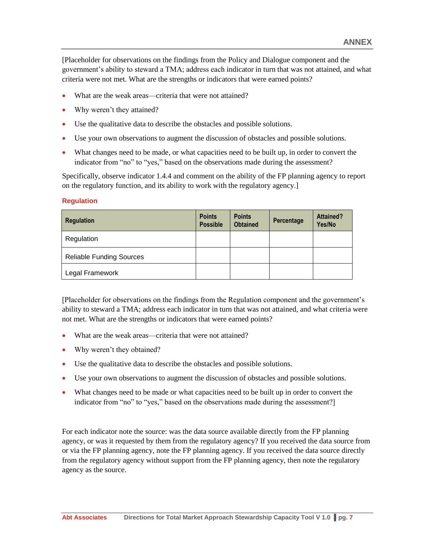[Placeholder for observations on the findings from the Policy and Dialogue component and the government's ability to steward a TMA; address each indicator in turn that was not attained, and what criteria were not met. What are the strengths or indicators that were earned points?

- What are the weak areas—criteria that were not attained?
- Why weren't they attained?
- Use the qualitative data to describe the obstacles and possible solutions.
- Use your own observations to augment the discussion of obstacles and possible solutions.
- What changes need to be made, or what capacities need to be built up, in order to convert the indicator from "no" to "yes," based on the observations made during the assessment?

Specifically, observe indicator 1.4.4 and comment on the ability of the FP planning agency to report on the regulatory function, and its ability to work with the regulatory agency.]

#### **Regulation**

| <b>Regulation</b>               | <b>Points</b><br><b>Possible</b> | <b>Points</b><br><b>Obtained</b> | Percentage | <b>Attained?</b><br>Yes/No |
|---------------------------------|----------------------------------|----------------------------------|------------|----------------------------|
| Regulation                      |                                  |                                  |            |                            |
| <b>Reliable Funding Sources</b> |                                  |                                  |            |                            |
| Legal Framework                 |                                  |                                  |            |                            |

[Placeholder for observations on the findings from the Regulation component and the government's ability to steward a TMA; address each indicator in turn that was not attained, and what criteria were not met. What are the strengths or indicators that were earned points?

- What are the weak areas—criteria that were not attained?
- Why weren't they obtained?
- Use the qualitative data to describe the obstacles and possible solutions.
- Use your own observations to augment the discussion of obstacles and possible solutions.
- What changes need to be made or what capacities need to be built up in order to convert the indicator from "no" to "yes," based on the observations made during the assessment?]

For each indicator note the source: was the data source available directly from the FP planning agency, or was it requested by them from the regulatory agency? If you received the data source from or via the FP planning agency, note the FP planning agency. If you received the data source directly from the regulatory agency without support from the FP planning agency, then note the regulatory agency as the source.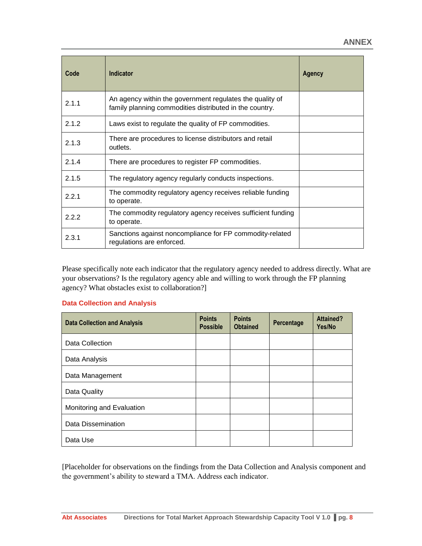| Code  | Indicator                                                                                                           | Agency |
|-------|---------------------------------------------------------------------------------------------------------------------|--------|
| 2.1.1 | An agency within the government regulates the quality of<br>family planning commodities distributed in the country. |        |
| 2.1.2 | Laws exist to regulate the quality of FP commodities.                                                               |        |
| 2.1.3 | There are procedures to license distributors and retail<br>outlets.                                                 |        |
| 2.1.4 | There are procedures to register FP commodities.                                                                    |        |
| 2.1.5 | The regulatory agency regularly conducts inspections.                                                               |        |
| 2.2.1 | The commodity regulatory agency receives reliable funding<br>to operate.                                            |        |
| 2.2.2 | The commodity regulatory agency receives sufficient funding<br>to operate.                                          |        |
| 2.3.1 | Sanctions against noncompliance for FP commodity-related<br>regulations are enforced.                               |        |

Please specifically note each indicator that the regulatory agency needed to address directly. What are your observations? Is the regulatory agency able and willing to work through the FP planning agency? What obstacles exist to collaboration?]

#### **Data Collection and Analysis**

| <b>Data Collection and Analysis</b> | <b>Points</b><br><b>Possible</b> | <b>Points</b><br><b>Obtained</b> | Percentage | <b>Attained?</b><br>Yes/No |
|-------------------------------------|----------------------------------|----------------------------------|------------|----------------------------|
| Data Collection                     |                                  |                                  |            |                            |
| Data Analysis                       |                                  |                                  |            |                            |
| Data Management                     |                                  |                                  |            |                            |
| Data Quality                        |                                  |                                  |            |                            |
| Monitoring and Evaluation           |                                  |                                  |            |                            |
| <b>Data Dissemination</b>           |                                  |                                  |            |                            |
| Data Use                            |                                  |                                  |            |                            |

[Placeholder for observations on the findings from the Data Collection and Analysis component and the government's ability to steward a TMA. Address each indicator.